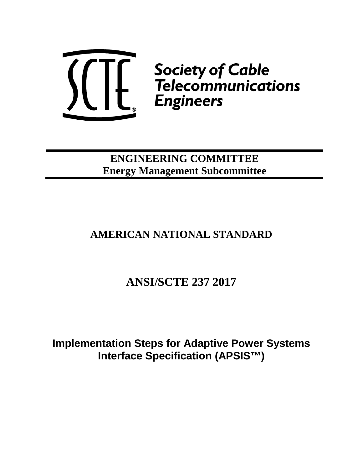

**ENGINEERING COMMITTEE Energy Management Subcommittee**

# **AMERICAN NATIONAL STANDARD**

# **ANSI/SCTE 237 2017**

**Implementation Steps for Adaptive Power Systems Interface Specification (APSIS™)**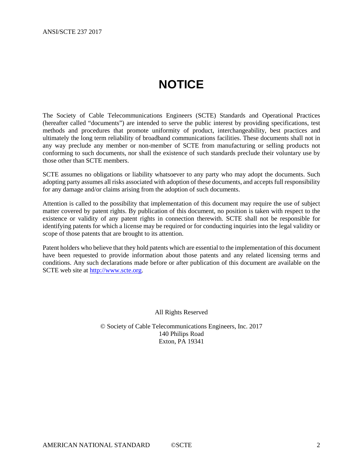# **NOTICE**

<span id="page-1-0"></span>The Society of Cable Telecommunications Engineers (SCTE) Standards and Operational Practices (hereafter called "documents") are intended to serve the public interest by providing specifications, test methods and procedures that promote uniformity of product, interchangeability, best practices and ultimately the long term reliability of broadband communications facilities. These documents shall not in any way preclude any member or non-member of SCTE from manufacturing or selling products not conforming to such documents, nor shall the existence of such standards preclude their voluntary use by those other than SCTE members.

SCTE assumes no obligations or liability whatsoever to any party who may adopt the documents. Such adopting party assumes all risks associated with adoption of these documents, and accepts full responsibility for any damage and/or claims arising from the adoption of such documents.

Attention is called to the possibility that implementation of this document may require the use of subject matter covered by patent rights. By publication of this document, no position is taken with respect to the existence or validity of any patent rights in connection therewith. SCTE shall not be responsible for identifying patents for which a license may be required or for conducting inquiries into the legal validity or scope of those patents that are brought to its attention.

Patent holders who believe that they hold patents which are essential to the implementation of this document have been requested to provide information about those patents and any related licensing terms and conditions. Any such declarations made before or after publication of this document are available on the SCTE web site at [http://www.scte.org.](http://www.scte.org/)

All Rights Reserved

© Society of Cable Telecommunications Engineers, Inc. 2017 140 Philips Road Exton, PA 19341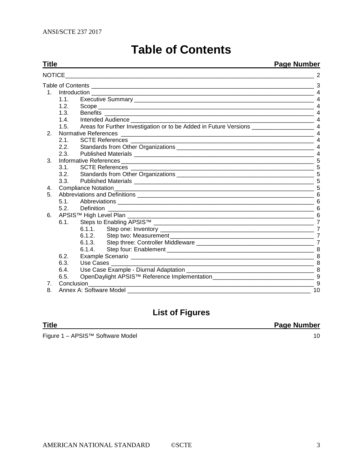<span id="page-2-0"></span>

|                  | <b>Page Number</b><br>Title   |           |                       |  |  |
|------------------|-------------------------------|-----------|-----------------------|--|--|
| <b>NOTICE</b>    |                               |           |                       |  |  |
|                  |                               |           |                       |  |  |
|                  |                               |           | $\overline{4}$        |  |  |
|                  | 1.1.                          |           | $\overline{4}$        |  |  |
|                  | 1.2 <sub>1</sub>              |           |                       |  |  |
|                  | 1.3.                          |           |                       |  |  |
|                  | 1.4                           |           | $\overline{4}$        |  |  |
|                  | 1.5.                          |           |                       |  |  |
| 2.               |                               |           | $\boldsymbol{\Delta}$ |  |  |
|                  | 2.1.                          |           |                       |  |  |
|                  | 2.2.                          |           |                       |  |  |
|                  | 2.3.                          |           |                       |  |  |
| 3.               |                               |           | -5                    |  |  |
|                  | 3.1.                          |           | .5                    |  |  |
|                  | 3.2.                          |           |                       |  |  |
|                  | 3.3.                          |           |                       |  |  |
| 4.               |                               |           |                       |  |  |
| 5.               |                               |           | 6                     |  |  |
|                  | 5.1                           |           | 6                     |  |  |
|                  | 5.2.                          |           |                       |  |  |
| 6.               |                               |           | 6                     |  |  |
|                  | 6.1.                          |           |                       |  |  |
|                  |                               |           | $\overline{7}$        |  |  |
|                  |                               |           | $\overline{7}$        |  |  |
|                  |                               |           |                       |  |  |
|                  |                               |           |                       |  |  |
|                  | 6.2.                          |           |                       |  |  |
|                  | 6.3.                          | Use Cases |                       |  |  |
|                  | 6.4.                          |           |                       |  |  |
|                  | 6.5.                          |           |                       |  |  |
| Conclusion<br>7. |                               |           |                       |  |  |
| 8.               | Annex A: Software Model<br>10 |           |                       |  |  |

# **Table of Contents**

# **List of Figures**

**Title Page Number**

Figure 1 – [APSIS™ Software Model](#page-9-1) 10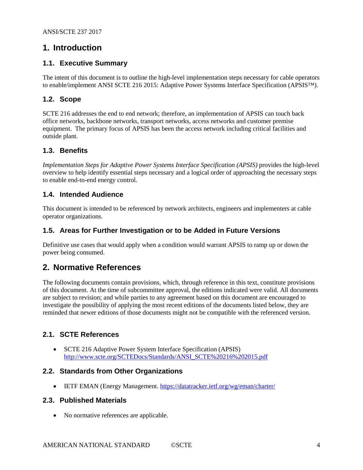# <span id="page-3-0"></span>**1. Introduction**

# <span id="page-3-1"></span>**1.1. Executive Summary**

The intent of this document is to outline the high-level implementation steps necessary for cable operators to enable/implement ANSI SCTE 216 2015: Adaptive Power Systems Interface Specification (APSIS™).

# <span id="page-3-2"></span>**1.2. Scope**

SCTE 216 addresses the end to end network; therefore, an implementation of APSIS can touch back office networks, backbone networks, transport networks, access networks and customer premise equipment. The primary focus of APSIS has been the access network including critical facilities and outside plant.

# <span id="page-3-3"></span>**1.3. Benefits**

*Implementation Steps for Adaptive Power Systems Interface Specification (APSIS)* provides the high-level overview to help identify essential steps necessary and a logical order of approaching the necessary steps to enable end-to-end energy control.

# <span id="page-3-4"></span>**1.4. Intended Audience**

This document is intended to be referenced by network architects, engineers and implementers at cable operator organizations.

## <span id="page-3-5"></span>**1.5. Areas for Further Investigation or to be Added in Future Versions**

Definitive use cases that would apply when a condition would warrant APSIS to ramp up or down the power being consumed.

# <span id="page-3-6"></span>**2. Normative References**

The following documents contain provisions, which, through reference in this text, constitute provisions of this document. At the time of subcommittee approval, the editions indicated were valid. All documents are subject to revision; and while parties to any agreement based on this document are encouraged to investigate the possibility of applying the most recent editions of the documents listed below, they are reminded that newer editions of those documents might not be compatible with the referenced version.

# <span id="page-3-7"></span>**2.1. SCTE References**

• SCTE 216 Adaptive Power System Interface Specification (APSIS) [http://www.scte.org/SCTEDocs/Standards/ANSI\\_SCTE%20216%202015.pdf](http://www.scte.org/SCTEDocs/Standards/ANSI_SCTE%2520216%25202015.pdf)

#### <span id="page-3-8"></span>**2.2. Standards from Other Organizations**

• IETF EMAN (Energy Management.<https://datatracker.ietf.org/wg/eman/charter/>

#### <span id="page-3-9"></span>**2.3. Published Materials**

• No normative references are applicable.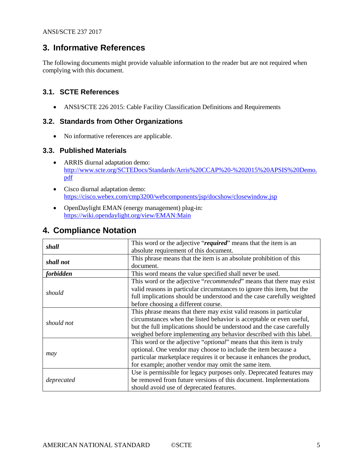# <span id="page-4-0"></span>**3. Informative References**

The following documents might provide valuable information to the reader but are not required when complying with this document.

# <span id="page-4-1"></span>**3.1. SCTE References**

• ANSI/SCTE 226 2015: Cable Facility Classification Definitions and Requirements

## <span id="page-4-2"></span>**3.2. Standards from Other Organizations**

• No informative references are applicable.

## <span id="page-4-3"></span>**3.3. Published Materials**

- ARRIS diurnal adaptation demo: [http://www.scte.org/SCTEDocs/Standards/Arris%20CCAP%20-%202015%20APSIS%20Demo.](http://www.scte.org/SCTEDocs/Standards/Arris%20CCAP%20-%202015%20APSIS%20Demo.pdf) [pdf](http://www.scte.org/SCTEDocs/Standards/Arris%20CCAP%20-%202015%20APSIS%20Demo.pdf)
- Cisco diurnal adaptation demo: <https://cisco.webex.com/cmp3200/webcomponents/jsp/docshow/closewindow.jsp>
- OpenDaylight EMAN (energy management) plug-in: <https://wiki.opendaylight.org/view/EMAN:Main>

# <span id="page-4-4"></span>**4. Compliance Notation**

| shall      | This word or the adjective "required" means that the item is an              |
|------------|------------------------------------------------------------------------------|
|            | absolute requirement of this document.                                       |
|            | This phrase means that the item is an absolute prohibition of this           |
| shall not  | document.                                                                    |
|            |                                                                              |
| forbidden  | This word means the value specified shall never be used.                     |
|            | This word or the adjective "recommended" means that there may exist          |
|            | valid reasons in particular circumstances to ignore this item, but the       |
| should     | full implications should be understood and the case carefully weighted       |
|            | before choosing a different course.                                          |
|            | This phrase means that there may exist valid reasons in particular           |
| should not | circumstances when the listed behavior is acceptable or even useful,         |
|            | but the full implications should be understood and the case carefully        |
|            | weighed before implementing any behavior described with this label.          |
|            | This word or the adjective " <i>optional</i> " means that this item is truly |
|            | optional. One vendor may choose to include the item because a                |
| may        | particular marketplace requires it or because it enhances the product,       |
|            | for example; another vendor may omit the same item.                          |
|            | Use is permissible for legacy purposes only. Deprecated features may         |
| deprecated | be removed from future versions of this document. Implementations            |
|            | should avoid use of deprecated features.                                     |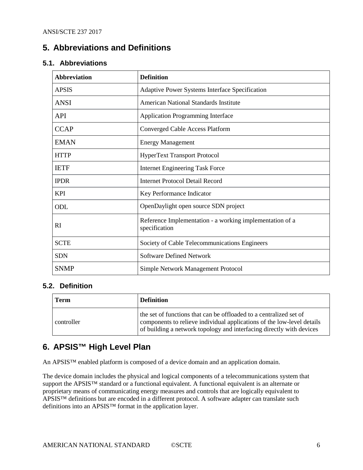# <span id="page-5-0"></span>**5. Abbreviations and Definitions**

## <span id="page-5-1"></span>**5.1. Abbreviations**

| <b>Abbreviation</b> | <b>Definition</b>                                                         |
|---------------------|---------------------------------------------------------------------------|
| <b>APSIS</b>        | Adaptive Power Systems Interface Specification                            |
| <b>ANSI</b>         | American National Standards Institute                                     |
| <b>API</b>          | <b>Application Programming Interface</b>                                  |
| <b>CCAP</b>         | <b>Converged Cable Access Platform</b>                                    |
| <b>EMAN</b>         | <b>Energy Management</b>                                                  |
| <b>HTTP</b>         | <b>HyperText Transport Protocol</b>                                       |
| <b>IETF</b>         | <b>Internet Engineering Task Force</b>                                    |
| <b>IPDR</b>         | <b>Internet Protocol Detail Record</b>                                    |
| <b>KPI</b>          | Key Performance Indicator                                                 |
| ODL                 | OpenDaylight open source SDN project                                      |
| RI                  | Reference Implementation - a working implementation of a<br>specification |
| <b>SCTE</b>         | Society of Cable Telecommunications Engineers                             |
| <b>SDN</b>          | <b>Software Defined Network</b>                                           |
| <b>SNMP</b>         | Simple Network Management Protocol                                        |

#### <span id="page-5-2"></span>**5.2. Definition**

| Term       | <b>Definition</b>                                                                                                                                                                                                    |
|------------|----------------------------------------------------------------------------------------------------------------------------------------------------------------------------------------------------------------------|
| controller | the set of functions that can be offloaded to a centralized set of<br>components to relieve individual applications of the low-level details<br>of building a network topology and interfacing directly with devices |

# <span id="page-5-3"></span>**6. APSIS™ High Level Plan**

An APSIS™ enabled platform is composed of a device domain and an application domain.

The device domain includes the physical and logical components of a telecommunications system that support the APSIS™ standard or a functional equivalent. A functional equivalent is an alternate or proprietary means of communicating energy measures and controls that are logically equivalent to APSIS™ definitions but are encoded in a different protocol. A software adapter can translate such definitions into an APSIS™ format in the application layer.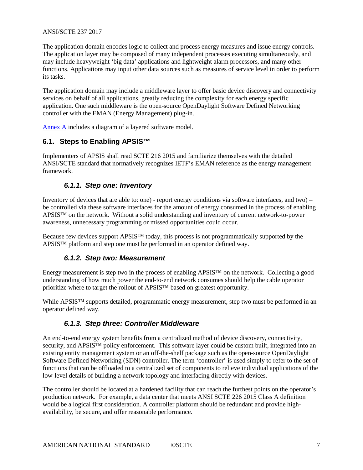#### ANSI/SCTE 237 2017

The application domain encodes logic to collect and process energy measures and issue energy controls. The application layer may be composed of many independent processes executing simultaneously, and may include heavyweight 'big data' applications and lightweight alarm processors, and many other functions. Applications may input other data sources such as measures of service level in order to perform its tasks.

The application domain may include a middleware layer to offer basic device discovery and connectivity services on behalf of all applications, greatly reducing the complexity for each energy specific application. One such middleware is the open-source OpenDaylight Software Defined Networking controller with the EMAN (Energy Management) plug-in.

<span id="page-6-0"></span>[Annex A](#page-9-0) includes a diagram of a layered software model.

# **6.1. Steps to Enabling APSIS™**

<span id="page-6-1"></span>Implementers of APSIS shall read SCTE 216 2015 and familiarize themselves with the detailed ANSI/SCTE standard that normatively recognizes IETF's EMAN reference as the energy management framework.

# *6.1.1. Step one: Inventory*

Inventory of devices that are able to: one) - report energy conditions via software interfaces, and two) – be controlled via these software interfaces for the amount of energy consumed in the process of enabling APSIS™ on the network. Without a solid understanding and inventory of current network-to-power awareness, unnecessary programming or missed opportunities could occur.

<span id="page-6-2"></span>Because few devices support APSIS™ today, this process is not programmatically supported by the APSIS™ platform and step one must be performed in an operator defined way.

# *6.1.2. Step two: Measurement*

Energy measurement is step two in the process of enabling APSIS™ on the network. Collecting a good understanding of how much power the end-to-end network consumes should help the cable operator prioritize where to target the rollout of APSIS™ based on greatest opportunity.

<span id="page-6-3"></span>While APSIS<sup>™</sup> supports detailed, programmatic energy measurement, step two must be performed in an operator defined way.

# *6.1.3. Step three: Controller Middleware*

An end-to-end energy system benefits from a centralized method of device discovery, connectivity, security, and APSIS™ policy enforcement. This software layer could be custom built, integrated into an existing entity management system or an off-the-shelf package such as the open-source OpenDaylight Software Defined Networking (SDN) controller. The term 'controller' is used simply to refer to the set of functions that can be offloaded to a centralized set of components to relieve individual applications of the low-level details of building a network topology and interfacing directly with devices.

The controller should be located at a hardened facility that can reach the furthest points on the operator's production network. For example, a data center that meets ANSI SCTE 226 2015 Class A definition would be a logical first consideration. A controller platform should be redundant and provide highavailability, be secure, and offer reasonable performance.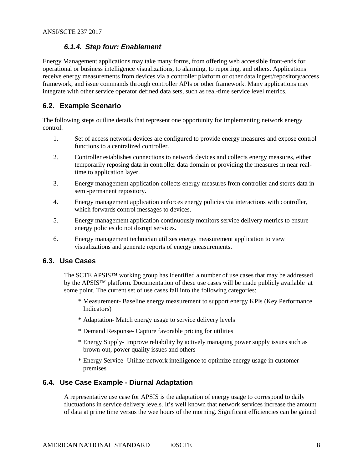# *6.1.4. Step four: Enablement*

<span id="page-7-0"></span>Energy Management applications may take many forms, from offering web accessible front-ends for operational or business intelligence visualizations, to alarming, to reporting, and others. Applications receive energy measurements from devices via a controller platform or other data ingest/repository/access framework, and issue commands through controller APIs or other framework. Many applications may integrate with other service operator defined data sets, such as real-time service level metrics.

## <span id="page-7-1"></span>**6.2. Example Scenario**

The following steps outline details that represent one opportunity for implementing network energy control.

- 1. Set of access network devices are configured to provide energy measures and expose control functions to a centralized controller.
- 2. Controller establishes connections to network devices and collects energy measures, either temporarily reposing data in controller data domain or providing the measures in near realtime to application layer.
- 3. Energy management application collects energy measures from controller and stores data in semi-permanent repository.
- 4. Energy management application enforces energy policies via interactions with controller, which forwards control messages to devices.
- 5. Energy management application continuously monitors service delivery metrics to ensure energy policies do not disrupt services.
- 6. Energy management technician utilizes energy measurement application to view visualizations and generate reports of energy measurements.

#### <span id="page-7-2"></span>**6.3. Use Cases**

The SCTE APSIS™ working group has identified a number of use cases that may be addressed by the APSIS™ platform. Documentation of these use cases will be made publicly available at some point. The current set of use cases fall into the following categories:

- \* Measurement- Baseline energy measurement to support energy KPIs (Key Performance Indicators)
- \* Adaptation- Match energy usage to service delivery levels
- \* Demand Response- Capture favorable pricing for utilities
- \* Energy Supply- Improve reliability by actively managing power supply issues such as brown-out, power quality issues and others
- \* Energy Service- Utilize network intelligence to optimize energy usage in customer premises

#### <span id="page-7-3"></span>**6.4. Use Case Example - Diurnal Adaptation**

A representative use case for APSIS is the adaptation of energy usage to correspond to daily fluctuations in service delivery levels. It's well known that network services increase the amount of data at prime time versus the wee hours of the morning. Significant efficiencies can be gained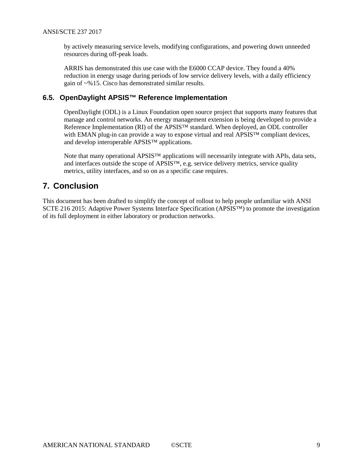by actively measuring service levels, modifying configurations, and powering down unneeded resources during off-peak loads.

ARRIS has demonstrated this use case with the E6000 CCAP device. They found a 40% reduction in energy usage during periods of low service delivery levels, with a daily efficiency gain of ~%15. Cisco has demonstrated similar results.

## <span id="page-8-0"></span>**6.5. OpenDaylight APSIS™ Reference Implementation**

OpenDaylight (ODL) is a Linux Foundation open source project that supports many features that manage and control networks. An energy management extension is being developed to provide a Reference Implementation (RI) of the APSIS™ standard. When deployed, an ODL controller with EMAN plug-in can provide a way to expose virtual and real APSIS™ compliant devices, and develop interoperable APSIS™ applications.

Note that many operational APSIS™ applications will necessarily integrate with APIs, data sets, and interfaces outside the scope of APSIS™, e.g. service delivery metrics, service quality metrics, utility interfaces, and so on as a specific case requires.

# <span id="page-8-1"></span>**7. Conclusion**

This document has been drafted to simplify the concept of rollout to help people unfamiliar with ANSI SCTE 216 2015: Adaptive Power Systems Interface Specification (APSIS™) to promote the investigation of its full deployment in either laboratory or production networks.